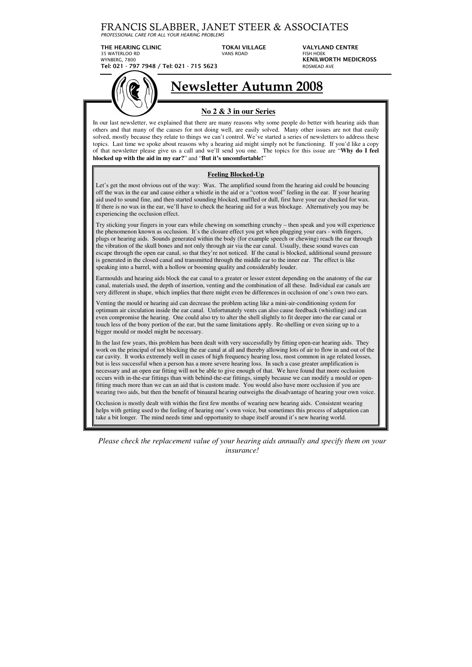## FRANCIS SLABBER, JANET STEER & ASSOCIATES

*PROFESSIONAL CARE FOR ALL YOUR HEARING PROBLEMS*

THE HEARING CLINIC **TOKAI VILLAGE** VALYLAND CENTRE 35 WATERLOO RD VANS ROAD FISH HOEK WYNBERG, 7800 **KENILWORTH MEDICROSS Tel: 021 - 797 7948 / Tel: 021 - 715 5623** ROSMEAD AVE

# **Newsletter Autumn 2008**

**No 2 & 3 in our Series**  In our last newsletter, we explained that there are many reasons why some people do better with hearing aids than others and that many of the causes for not doing well, are easily solved. Many other issues are not that easily

solved, mostly because they relate to things we can't control. We've started a series of newsletters to address these topics. Last time we spoke about reasons why a hearing aid might simply not be functioning. If you'd like a copy of that newsletter please give us a call and we'll send you one. The topics for this issue are "**Why do I feel blocked up with the aid in my ear?**" and "**But it's uncomfortable!**"

### **Feeling Blocked-Up**

Let's get the most obvious out of the way: Wax. The amplified sound from the hearing aid could be bouncing off the wax in the ear and cause either a whistle in the aid or a "cotton wool" feeling in the ear. If your hearing aid used to sound fine, and then started sounding blocked, muffled or dull, first have your ear checked for wax. If there is no wax in the ear, we'll have to check the hearing aid for a wax blockage. Alternatively you may be experiencing the occlusion effect.

Try sticking your fingers in your ears while chewing on something crunchy – then speak and you will experience the phenomenon known as occlusion. It's the closure effect you get when plugging your ears - with fingers, plugs or hearing aids. Sounds generated within the body (for example speech or chewing) reach the ear through the vibration of the skull bones and not only through air via the ear canal. Usually, these sound waves can escape through the open ear canal, so that they're not noticed. If the canal is blocked, additional sound pressure is generated in the closed canal and transmitted through the middle ear to the inner ear. The effect is like speaking into a barrel, with a hollow or booming quality and considerably louder.

Earmoulds and hearing aids block the ear canal to a greater or lesser extent depending on the anatomy of the ear canal, materials used, the depth of insertion, venting and the combination of all these. Individual ear canals are very different in shape, which implies that there might even be differences in occlusion of one's own two ears.

Venting the mould or hearing aid can decrease the problem acting like a mini-air-conditioning system for optimum air circulation inside the ear canal. Unfortunately vents can also cause feedback (whistling) and can even compromise the hearing. One could also try to alter the shell slightly to fit deeper into the ear canal or touch less of the bony portion of the ear, but the same limitations apply. Re-shelling or even sizing up to a bigger mould or model might be necessary.

In the last few years, this problem has been dealt with very successfully by fitting open-ear hearing aids. They work on the principal of not blocking the ear canal at all and thereby allowing lots of air to flow in and out of the ear cavity. It works extremely well in cases of high frequency hearing loss, most common in age related losses, but is less successful when a person has a more severe hearing loss. In such a case greater amplification is necessary and an open ear fitting will not be able to give enough of that. We have found that more occlusion occurs with in-the-ear fittings than with behind-the-ear fittings, simply because we can modify a mould or openfitting much more than we can an aid that is custom made. You would also have more occlusion if you are wearing two aids, but then the benefit of binaural hearing outweighs the disadvantage of hearing your own voice.

Occlusion is mostly dealt with within the first few months of wearing new hearing aids. Consistent wearing helps with getting used to the feeling of hearing one's own voice, but sometimes this process of adaptation can take a bit longer. The mind needs time and opportunity to shape itself around it's new hearing world.

*Please check the replacement value of your hearing aids annually and specify them on your insurance!*